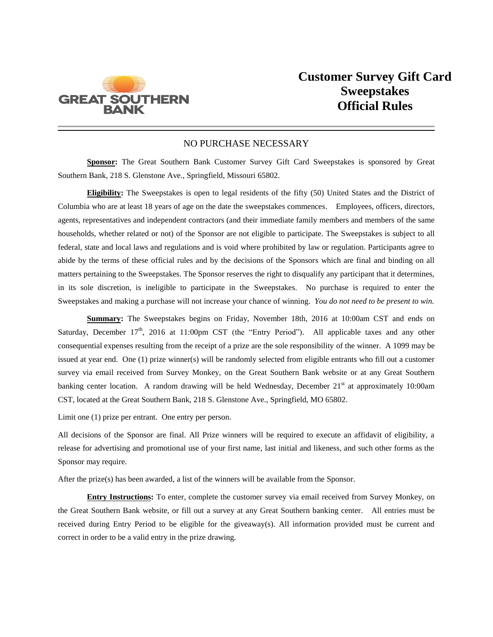

## **Customer Survey Gift Card Sweepstakes Official Rules**

## NO PURCHASE NECESSARY

**Sponsor:** The Great Southern Bank Customer Survey Gift Card Sweepstakes is sponsored by Great Southern Bank, 218 S. Glenstone Ave., Springfield, Missouri 65802.

**Eligibility:** The Sweepstakes is open to legal residents of the fifty (50) United States and the District of Columbia who are at least 18 years of age on the date the sweepstakes commences. Employees, officers, directors, agents, representatives and independent contractors (and their immediate family members and members of the same households, whether related or not) of the Sponsor are not eligible to participate. The Sweepstakes is subject to all federal, state and local laws and regulations and is void where prohibited by law or regulation. Participants agree to abide by the terms of these official rules and by the decisions of the Sponsors which are final and binding on all matters pertaining to the Sweepstakes. The Sponsor reserves the right to disqualify any participant that it determines, in its sole discretion, is ineligible to participate in the Sweepstakes. No purchase is required to enter the Sweepstakes and making a purchase will not increase your chance of winning. *You do not need to be present to win.*

**Summary:** The Sweepstakes begins on Friday, November 18th, 2016 at 10:00am CST and ends on Saturday, December 17<sup>th</sup>, 2016 at 11:00pm CST (the "Entry Period"). All applicable taxes and any other consequential expenses resulting from the receipt of a prize are the sole responsibility of the winner. A 1099 may be issued at year end. One (1) prize winner(s) will be randomly selected from eligible entrants who fill out a customer survey via email received from Survey Monkey, on the Great Southern Bank website or at any Great Southern banking center location. A random drawing will be held Wednesday, December  $21<sup>st</sup>$  at approximately 10:00am CST, located at the Great Southern Bank, 218 S. Glenstone Ave., Springfield, MO 65802.

Limit one (1) prize per entrant. One entry per person.

All decisions of the Sponsor are final. All Prize winners will be required to execute an affidavit of eligibility, a release for advertising and promotional use of your first name, last initial and likeness, and such other forms as the Sponsor may require.

After the prize(s) has been awarded, a list of the winners will be available from the Sponsor.

**Entry Instructions:** To enter, complete the customer survey via email received from Survey Monkey, on the Great Southern Bank website, or fill out a survey at any Great Southern banking center. All entries must be received during Entry Period to be eligible for the giveaway(s). All information provided must be current and correct in order to be a valid entry in the prize drawing.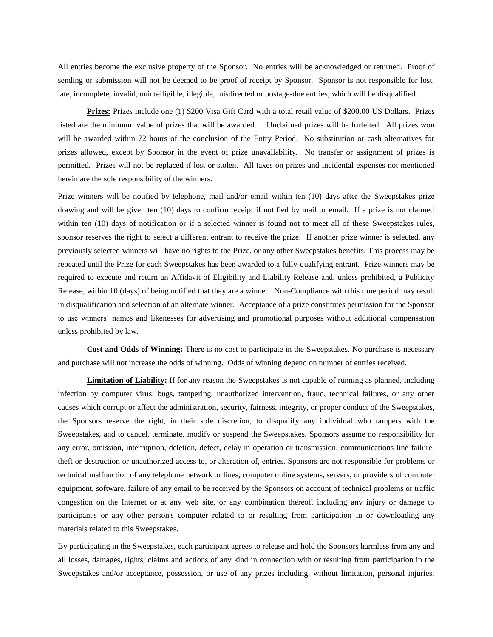All entries become the exclusive property of the Sponsor. No entries will be acknowledged or returned. Proof of sending or submission will not be deemed to be proof of receipt by Sponsor. Sponsor is not responsible for lost, late, incomplete, invalid, unintelligible, illegible, misdirected or postage-due entries, which will be disqualified.

**Prizes:** Prizes include one (1) \$200 Visa Gift Card with a total retail value of \$200.00 US Dollars. Prizes listed are the minimum value of prizes that will be awarded. Unclaimed prizes will be forfeited. All prizes won will be awarded within 72 hours of the conclusion of the Entry Period. No substitution or cash alternatives for prizes allowed, except by Sponsor in the event of prize unavailability. No transfer or assignment of prizes is permitted. Prizes will not be replaced if lost or stolen. All taxes on prizes and incidental expenses not mentioned herein are the sole responsibility of the winners.

Prize winners will be notified by telephone, mail and/or email within ten (10) days after the Sweepstakes prize drawing and will be given ten (10) days to confirm receipt if notified by mail or email. If a prize is not claimed within ten (10) days of notification or if a selected winner is found not to meet all of these Sweepstakes rules, sponsor reserves the right to select a different entrant to receive the prize. If another prize winner is selected, any previously selected winners will have no rights to the Prize, or any other Sweepstakes benefits. This process may be repeated until the Prize for each Sweepstakes has been awarded to a fully-qualifying entrant. Prize winners may be required to execute and return an Affidavit of Eligibility and Liability Release and, unless prohibited, a Publicity Release, within 10 (days) of being notified that they are a winner. Non-Compliance with this time period may result in disqualification and selection of an alternate winner. Acceptance of a prize constitutes permission for the Sponsor to use winners' names and likenesses for advertising and promotional purposes without additional compensation unless prohibited by law.

**Cost and Odds of Winning:** There is no cost to participate in the Sweepstakes. No purchase is necessary and purchase will not increase the odds of winning. Odds of winning depend on number of entries received.

**Limitation of Liability:** If for any reason the Sweepstakes is not capable of running as planned, including infection by computer virus, bugs, tampering, unauthorized intervention, fraud, technical failures, or any other causes which corrupt or affect the administration, security, fairness, integrity, or proper conduct of the Sweepstakes, the Sponsors reserve the right, in their sole discretion, to disqualify any individual who tampers with the Sweepstakes, and to cancel, terminate, modify or suspend the Sweepstakes. Sponsors assume no responsibility for any error, omission, interruption, deletion, defect, delay in operation or transmission, communications line failure, theft or destruction or unauthorized access to, or alteration of, entries. Sponsors are not responsible for problems or technical malfunction of any telephone network or lines, computer online systems, servers, or providers of computer equipment, software, failure of any email to be received by the Sponsors on account of technical problems or traffic congestion on the Internet or at any web site, or any combination thereof, including any injury or damage to participant's or any other person's computer related to or resulting from participation in or downloading any materials related to this Sweepstakes.

By participating in the Sweepstakes, each participant agrees to release and hold the Sponsors harmless from any and all losses, damages, rights, claims and actions of any kind in connection with or resulting from participation in the Sweepstakes and/or acceptance, possession, or use of any prizes including, without limitation, personal injuries,